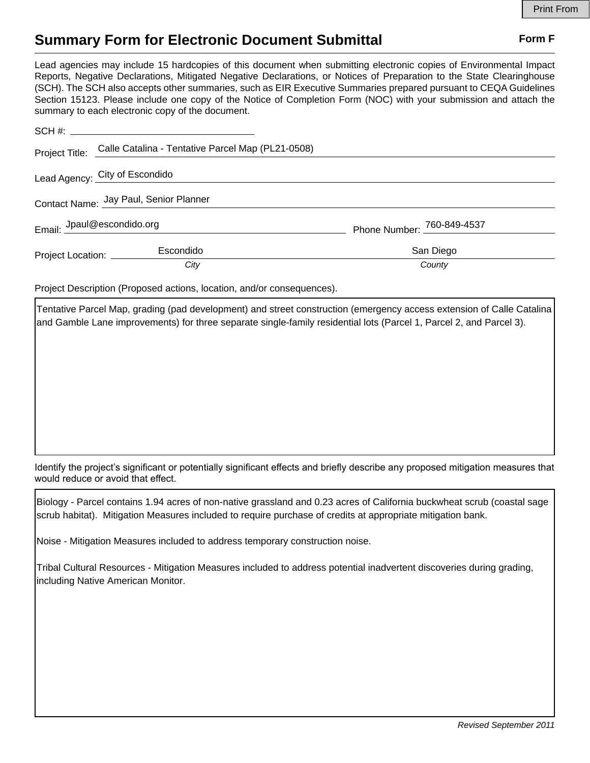## **Summary Form for Electronic Document Submittal Form F Form F**

Lead agencies may include 15 hardcopies of this document when submitting electronic copies of Environmental Impact Reports, Negative Declarations, Mitigated Negative Declarations, or Notices of Preparation to the State Clearinghouse (SCH). The SCH also accepts other summaries, such as EIR Executive Summaries prepared pursuant to CEQA Guidelines Section 15123. Please include one copy of the Notice of Completion Form (NOC) with your submission and attach the summary to each electronic copy of the document.

|                                        | Project Title: Calle Catalina - Tentative Parcel Map (PL21-0508) |                            |
|----------------------------------------|------------------------------------------------------------------|----------------------------|
|                                        | Lead Agency: City of Escondido                                   |                            |
| Contact Name: Jay Paul, Senior Planner |                                                                  |                            |
|                                        | Email: Jpaul@escondido.org                                       | Phone Number: 760-849-4537 |
| Project Location: ________             | Escondido                                                        | San Diego                  |
|                                        | City                                                             | County                     |

Project Description (Proposed actions, location, and/or consequences).

Tentative Parcel Map, grading (pad development) and street construction (emergency access extension of Calle Catalina and Gamble Lane improvements) for three separate single-family residential lots (Parcel 1, Parcel 2, and Parcel 3).

Identify the project's significant or potentially significant effects and briefly describe any proposed mitigation measures that would reduce or avoid that effect.

Biology - Parcel contains 1.94 acres of non-native grassland and 0.23 acres of California buckwheat scrub (coastal sage scrub habitat). Mitigation Measures included to require purchase of credits at appropriate mitigation bank.

Noise - Mitigation Measures included to address temporary construction noise.

Tribal Cultural Resources - Mitigation Measures included to address potential inadvertent discoveries during grading, including Native American Monitor.